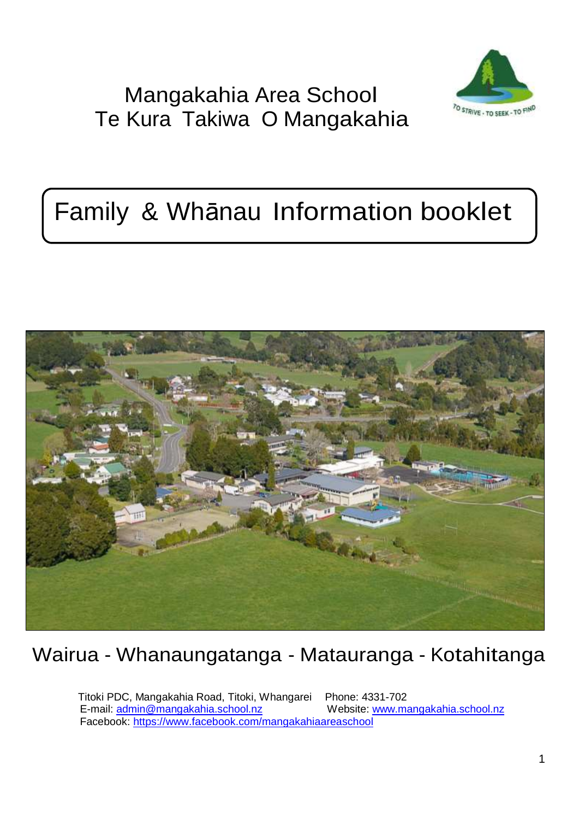# Mangakahia Area School Te Kura Takiwa O Mangakahia



# Family & Whānau Information booklet



Wairua - Whanaungatanga - Matauranga - Kotahitanga

Titoki PDC, Mangakahia Road, Titoki, Whangarei Phone: 4331-702 E-mail: [admin@mangakahia.school.nz We](mailto:admin@mangakahia.school.nz)bsite: [www.mangakahia.school.nz](http://www.mangakahia.school.nz/) Facebook:<https://www.facebook.com/mangakahiaareaschool>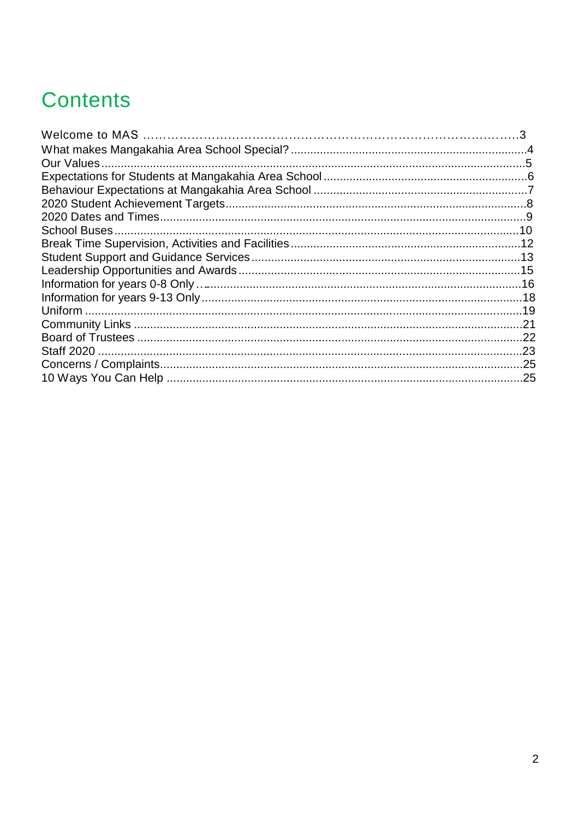# **Contents**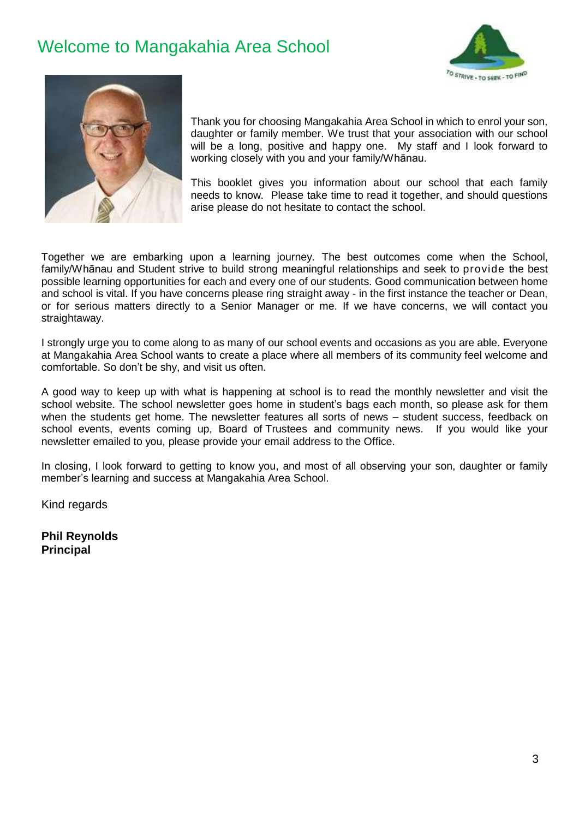## Welcome to Mangakahia Area School





Thank you for choosing Mangakahia Area School in which to enrol your son, daughter or family member. We trust that your association with our school will be a long, positive and happy one. My staff and I look forward to working closely with you and your family/Whānau.

This booklet gives you information about our school that each family needs to know. Please take time to read it together, and should questions arise please do not hesitate to contact the school.

Together we are embarking upon a learning journey. The best outcomes come when the School, family/Whānau and Student strive to build strong meaningful relationships and seek to provide the best possible learning opportunities for each and every one of our students. Good communication between home and school is vital. If you have concerns please ring straight away - in the first instance the teacher or Dean, or for serious matters directly to a Senior Manager or me. If we have concerns, we will contact you straightaway.

I strongly urge you to come along to as many of our school events and occasions as you are able. Everyone at Mangakahia Area School wants to create a place where all members of its community feel welcome and comfortable. So don't be shy, and visit us often.

A good way to keep up with what is happening at school is to read the monthly newsletter and visit the school website. The school newsletter goes home in student's bags each month, so please ask for them when the students get home. The newsletter features all sorts of news – student success, feedback on school events, events coming up, Board of Trustees and community news. If you would like your newsletter emailed to you, please provide your email address to the Office.

In closing, I look forward to getting to know you, and most of all observing your son, daughter or family member's learning and success at Mangakahia Area School.

Kind regards

**Phil Reynolds Principal**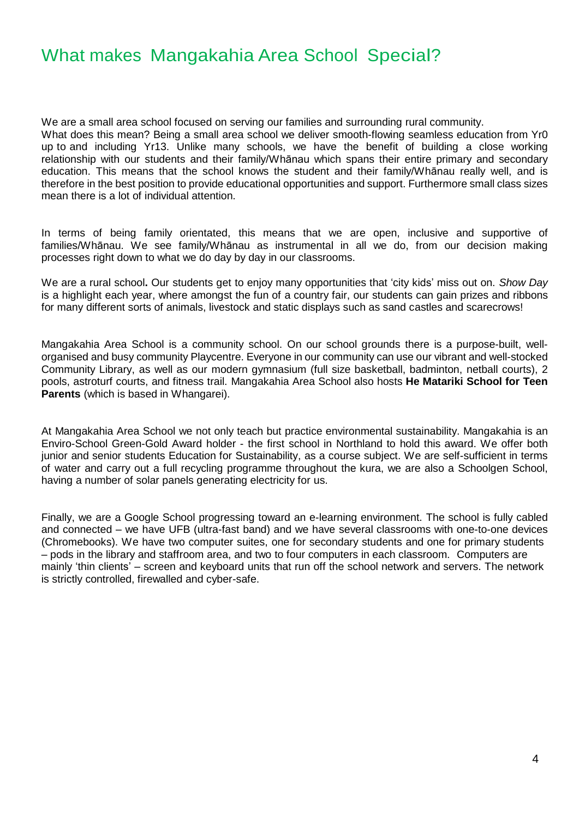## What makes Mangakahia Area School Special?

We are a small area school focused on serving our families and surrounding rural community. What does this mean? Being a small area school we deliver smooth-flowing seamless education from Yr0 up to and including Yr13. Unlike many schools, we have the benefit of building a close working relationship with our students and their family/Whānau which spans their entire primary and secondary education. This means that the school knows the student and their family/Whānau really well, and is therefore in the best position to provide educational opportunities and support. Furthermore small class sizes mean there is a lot of individual attention.

In terms of being family orientated, this means that we are open, inclusive and supportive of families/Whānau. We see family/Whānau as instrumental in all we do, from our decision making processes right down to what we do day by day in our classrooms.

We are a rural school**.** Our students get to enjoy many opportunities that 'city kids' miss out on. *Show Day*  is a highlight each year, where amongst the fun of a country fair, our students can gain prizes and ribbons for many different sorts of animals, livestock and static displays such as sand castles and scarecrows!

Mangakahia Area School is a community school. On our school grounds there is a purpose-built, wellorganised and busy community Playcentre. Everyone in our community can use our vibrant and well-stocked Community Library, as well as our modern gymnasium (full size basketball, badminton, netball courts), 2 pools, astroturf courts, and fitness trail. Mangakahia Area School also hosts **He Matariki School for Teen Parents** (which is based in Whangarei).

At Mangakahia Area School we not only teach but practice environmental sustainability. Mangakahia is an Enviro-School Green-Gold Award holder - the first school in Northland to hold this award. We offer both junior and senior students Education for Sustainability, as a course subject. We are self-sufficient in terms of water and carry out a full recycling programme throughout the kura, we are also a Schoolgen School, having a number of solar panels generating electricity for us.

Finally, we are a Google School progressing toward an e-learning environment. The school is fully cabled and connected – we have UFB (ultra-fast band) and we have several classrooms with one-to-one devices (Chromebooks). We have two computer suites, one for secondary students and one for primary students – pods in the library and staffroom area, and two to four computers in each classroom. Computers are mainly 'thin clients' – screen and keyboard units that run off the school network and servers. The network is strictly controlled, firewalled and cyber-safe.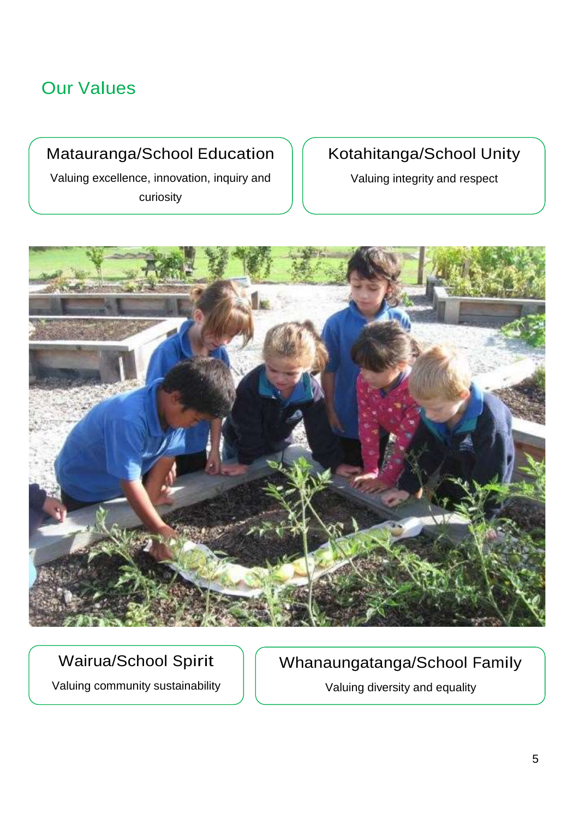## Our Values

## Matauranga/School Education

Valuing excellence, innovation, inquiry and curiosity

## Kotahitanga/School Unity

Valuing integrity and respect



## Wairua/School Spirit

Valuing community sustainability

Whanaungatanga/School Family

Valuing diversity and equality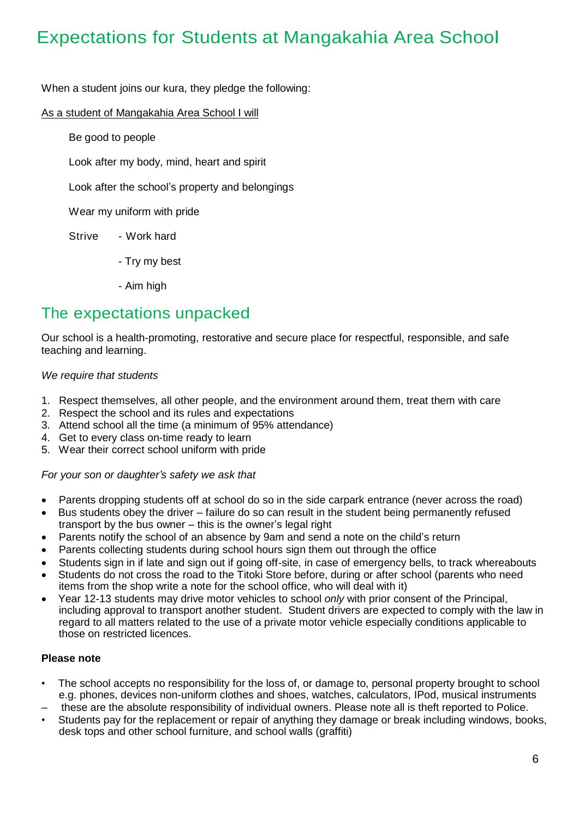## Expectations for Students at Mangakahia Area School

When a student joins our kura, they pledge the following:

#### As a student of Mangakahia Area School I will

Be good to people

Look after my body, mind, heart and spirit

Look after the school's property and belongings

Wear my uniform with pride

- Strive Work hard
	- Try my best
	- Aim high

## The expectations unpacked

Our school is a health-promoting, restorative and secure place for respectful, responsible, and safe teaching and learning.

#### *We require that students*

- 1. Respect themselves, all other people, and the environment around them, treat them with care
- 2. Respect the school and its rules and expectations
- 3. Attend school all the time (a minimum of 95% attendance)
- 4. Get to every class on-time ready to learn
- 5. Wear their correct school uniform with pride

#### *For your son or daughter's safety we ask that*

- Parents dropping students off at school do so in the side carpark entrance (never across the road)
- Bus students obey the driver failure do so can result in the student being permanently refused transport by the bus owner – this is the owner's legal right
- Parents notify the school of an absence by 9am and send a note on the child's return
- Parents collecting students during school hours sign them out through the office
- Students sign in if late and sign out if going off-site, in case of emergency bells, to track whereabouts
- Students do not cross the road to the Titoki Store before, during or after school (parents who need items from the shop write a note for the school office, who will deal with it)
- Year 12-13 students may drive motor vehicles to school *only* with prior consent of the Principal, including approval to transport another student. Student drivers are expected to comply with the law in regard to all matters related to the use of a private motor vehicle especially conditions applicable to those on restricted licences.

#### **Please note**

- The school accepts no responsibility for the loss of, or damage to, personal property brought to school e.g. phones, devices non-uniform clothes and shoes, watches, calculators, IPod, musical instruments
- these are the absolute responsibility of individual owners. Please note all is theft reported to Police.
- Students pay for the replacement or repair of anything they damage or break including windows, books, desk tops and other school furniture, and school walls (graffiti)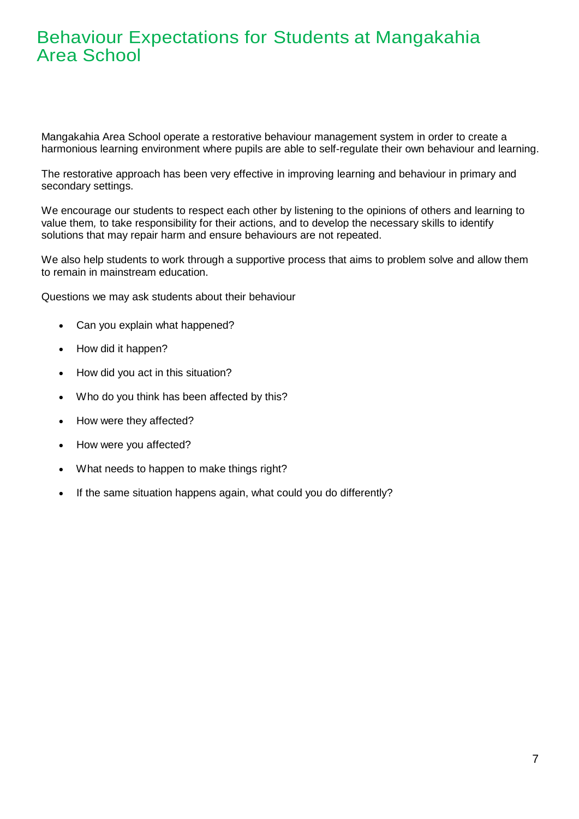## Behaviour Expectations for Students at Mangakahia Area School

Mangakahia Area School operate a restorative behaviour management system in order to create a harmonious learning environment where pupils are able to self-regulate their own behaviour and learning.

The restorative approach has been very effective in improving learning and behaviour in primary and secondary settings.

We encourage our students to respect each other by listening to the opinions of others and learning to value them*,* to take responsibility for their actions, and to develop the necessary skills to identify solutions that may repair harm and ensure behaviours are not repeated.

We also help students to work through a supportive process that aims to problem solve and allow them to remain in mainstream education.

Questions we may ask students about their behaviour

- Can you explain what happened?
- How did it happen?
- How did you act in this situation?
- Who do you think has been affected by this?
- How were they affected?
- How were you affected?
- What needs to happen to make things right?
- If the same situation happens again, what could you do differently?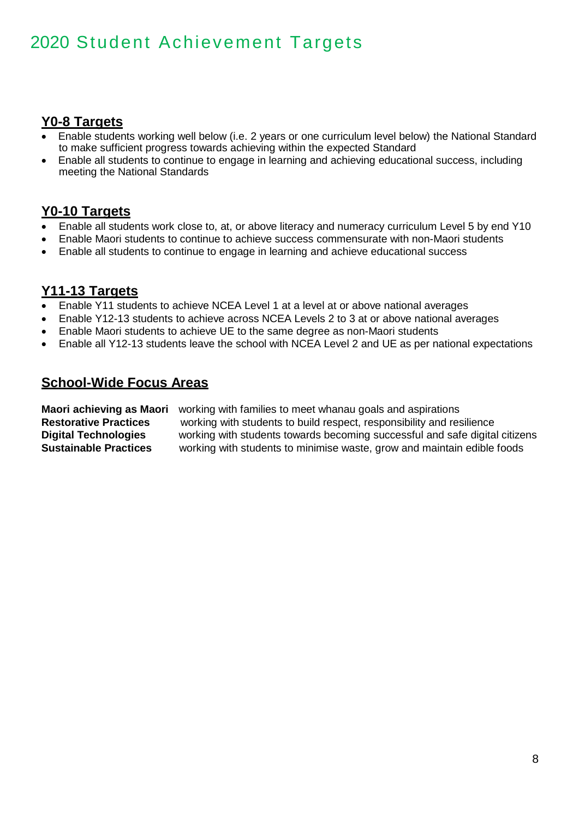## 2020 Student Achievement Targets

#### **Y0-8 Targets**

- Enable students working well below (i.e. 2 years or one curriculum level below) the National Standard to make sufficient progress towards achieving within the expected Standard
- Enable all students to continue to engage in learning and achieving educational success, including meeting the National Standards

### **Y0-10 Targets**

- Enable all students work close to, at, or above literacy and numeracy curriculum Level 5 by end Y10
- Enable Maori students to continue to achieve success commensurate with non-Maori students
- Enable all students to continue to engage in learning and achieve educational success

#### **Y11-13 Targets**

- Enable Y11 students to achieve NCEA Level 1 at a level at or above national averages
- Enable Y12-13 students to achieve across NCEA Levels 2 to 3 at or above national averages
- Enable Maori students to achieve UE to the same degree as non-Maori students
- Enable all Y12-13 students leave the school with NCEA Level 2 and UE as per national expectations

#### **School-Wide Focus Areas**

**Maori achieving as Maori** working with families to meet whanau goals and aspirations **Restorative Practices** working with students to build respect, responsibility and resilience **Digital Technologies** working with students towards becoming successful and safe digital citizens **Sustainable Practices** working with students to minimise waste, grow and maintain edible foods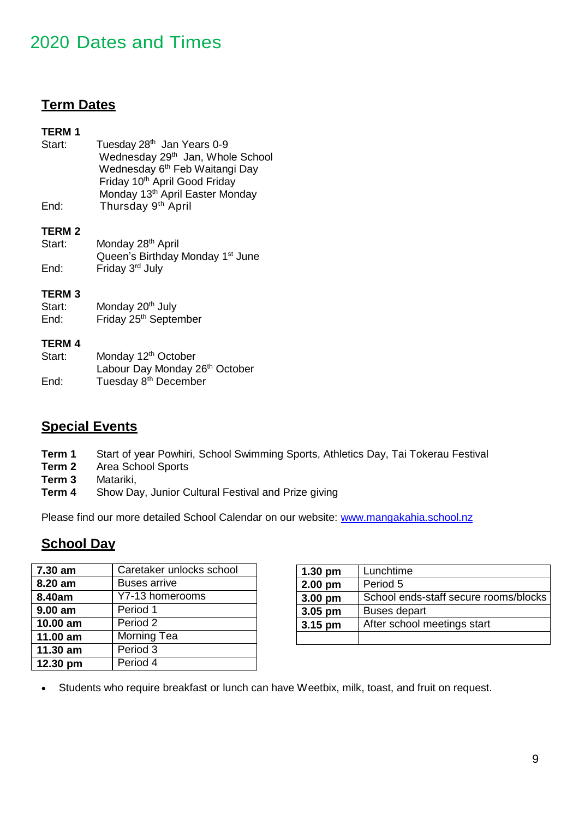## 2020 Dates and Times Achievement Targets

### **Term Dates**

#### **TERM 1**

| Start: | Tuesday 28 <sup>th</sup> Jan Years 0-9      |
|--------|---------------------------------------------|
|        | Wednesday 29th Jan, Whole School            |
|        | Wednesday 6 <sup>th</sup> Feb Waitangi Day  |
|        | Friday 10 <sup>th</sup> April Good Friday   |
|        | Monday 13 <sup>th</sup> April Easter Monday |
| End:   | Thursday 9 <sup>th</sup> April              |

#### **TERM 2**

| Start: | Monday 28 <sup>th</sup> April                |
|--------|----------------------------------------------|
|        | Queen's Birthday Monday 1 <sup>st</sup> June |
| End:   | Friday 3 <sup>rd</sup> July                  |

#### **TERM 3**

Start: Monday 20<sup>th</sup> July End: Friday 25<sup>th</sup> September

#### **TERM 4**

| Start: | Monday 12 <sup>th</sup> October  |
|--------|----------------------------------|
|        | Labour Day Monday 26th October   |
| End:   | Tuesday 8 <sup>th</sup> December |

### **Special Events**

- **Term 1** Start of year Powhiri, School Swimming Sports, Athletics Day, Tai Tokerau Festival
- **Term 2** Area School Sports
- **Term 3** Matariki,
- **Term 4** Show Day, Junior Cultural Festival and Prize giving

Please find our more detailed School Calendar on our website: [www.mangakahia.school.nz](http://www.mangakahia.school.nz/)

### **School Day**

| 7.30 am   | Caretaker unlocks school |
|-----------|--------------------------|
| 8.20 am   | <b>Buses arrive</b>      |
| 8.40am    | Y7-13 homerooms          |
| $9.00$ am | Period 1                 |
| 10.00 am  | Period 2                 |
| 11.00 am  | Morning Tea              |
| 11.30 am  | Period 3                 |
| 12.30 pm  | Period 4                 |

| $1.30$ pm                              | Lunchtime                             |  |
|----------------------------------------|---------------------------------------|--|
| 2.00 pm                                | Period 5                              |  |
| 3.00 pm                                | School ends-staff secure rooms/blocks |  |
| 3.05 pm                                | <b>Buses depart</b>                   |  |
| After school meetings start<br>3.15 pm |                                       |  |
|                                        |                                       |  |

Students who require breakfast or lunch can have Weetbix, milk, toast, and fruit on request.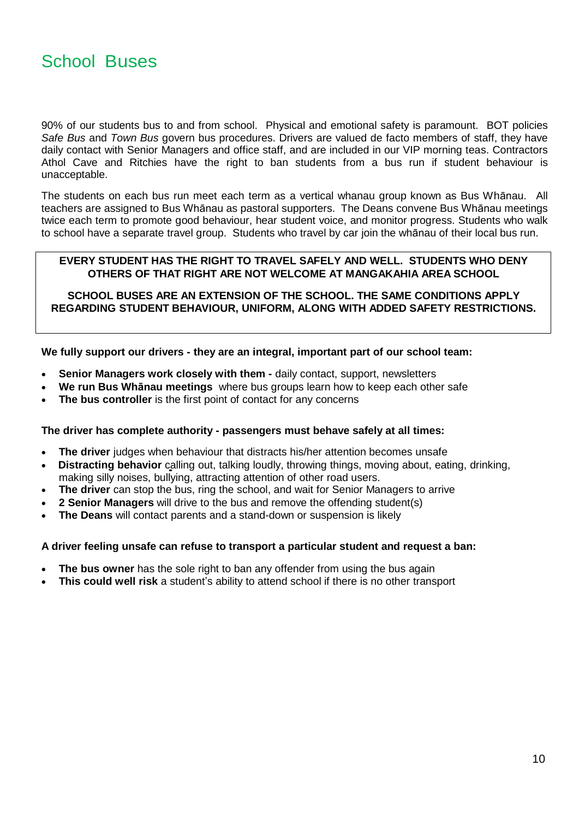90% of our students bus to and from school. Physical and emotional safety is paramount. BOT policies *Safe Bus* and *Town Bus* govern bus procedures. Drivers are valued de facto members of staff, they have daily contact with Senior Managers and office staff, and are included in our VIP morning teas. Contractors Athol Cave and Ritchies have the right to ban students from a bus run if student behaviour is unacceptable.

The students on each bus run meet each term as a vertical whanau group known as Bus Whānau. All teachers are assigned to Bus Whānau as pastoral supporters. The Deans convene Bus Whānau meetings twice each term to promote good behaviour, hear student voice, and monitor progress. Students who walk to school have a separate travel group. Students who travel by car join the whānau of their local bus run.

#### **EVERY STUDENT HAS THE RIGHT TO TRAVEL SAFELY AND WELL. STUDENTS WHO DENY OTHERS OF THAT RIGHT ARE NOT WELCOME AT MANGAKAHIA AREA SCHOOL**

**SCHOOL BUSES ARE AN EXTENSION OF THE SCHOOL. THE SAME CONDITIONS APPLY REGARDING STUDENT BEHAVIOUR, UNIFORM, ALONG WITH ADDED SAFETY RESTRICTIONS.**

**We fully support our drivers - they are an integral, important part of our school team:**

- **Senior Managers work closely with them -** daily contact, support, newsletters
- **We run Bus Whānau meetings** where bus groups learn how to keep each other safe
- **The bus controller** is the first point of contact for any concerns

#### **The driver has complete authority - passengers must behave safely at all times:**

- **The driver** judges when behaviour that distracts his/her attention becomes unsafe
- **Distracting behavior** calling out, talking loudly, throwing things, moving about, eating, drinking, making silly noises, bullying, attracting attention of other road users.
- **The driver** can stop the bus, ring the school, and wait for Senior Managers to arrive
- **2 Senior Managers** will drive to the bus and remove the offending student(s)
- **The Deans** will contact parents and a stand-down or suspension is likely

#### **A driver feeling unsafe can refuse to transport a particular student and request a ban:**

- **The bus owner** has the sole right to ban any offender from using the bus again
- **This could well risk** a student's ability to attend school if there is no other transport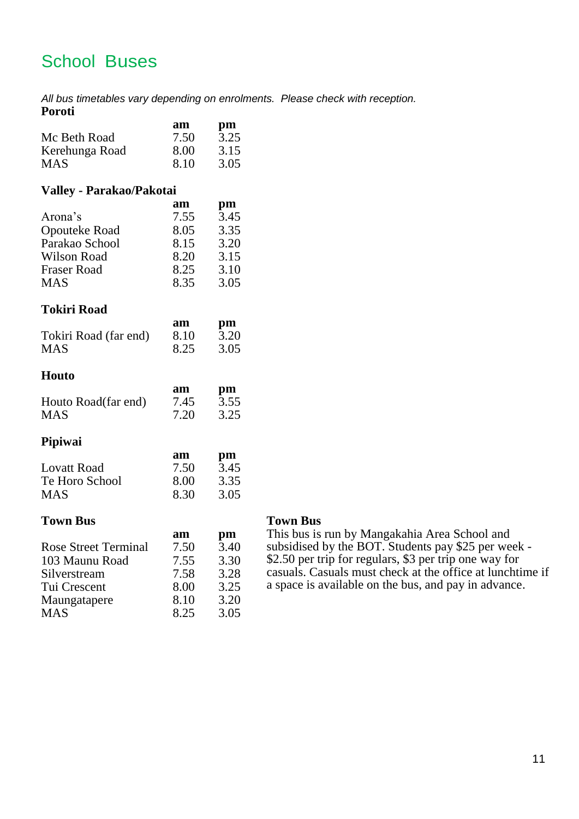## School Buses

*All bus timetables vary depending on enrolments. Please check with reception.* **Poroti**

|                                 | am   | pm           |
|---------------------------------|------|--------------|
| Mc Beth Road                    | 7.50 | $\bar{3}.25$ |
| Kerehunga Road                  | 8.00 | 3.15         |
| <b>MAS</b>                      | 8.10 | 3.05         |
| <b>Valley - Parakao/Pakotai</b> |      |              |
|                                 | am   | pm           |
| Arona's                         | 7.55 | 3.45         |
| Opouteke Road                   | 8.05 | 3.35         |
| Parakao School                  | 8.15 | 3.20         |
| <b>Wilson Road</b>              | 8.20 | 3.15         |
| <b>Fraser Road</b>              | 8.25 | 3.10         |
| <b>MAS</b>                      | 8.35 | 3.05         |
| <b>Tokiri Road</b>              |      |              |
|                                 | am   | pm           |
| Tokiri Road (far end)           | 8.10 | 3.20         |
| <b>MAS</b>                      | 8.25 | 3.05         |
| Houto                           |      |              |
|                                 | am   | pm           |
| Houto Road(far end)             | 7.45 | 3.55         |
| <b>MAS</b>                      | 7.20 | 3.25         |
| Pipiwai                         |      |              |
|                                 | am   | pm           |
| <b>Lovatt Road</b>              | 7.50 | 3.45         |
| Te Horo School                  | 8.00 | 3.35         |
| <b>MAS</b>                      | 8.30 | 3.05         |
| <b>Town Bus</b>                 |      |              |
|                                 | am   | pm           |
| <b>Rose Street Terminal</b>     | 7.50 | 3.40         |
| 103 Maunu Road                  | 7.55 | 3.30         |
| Silverstream                    | 7.58 | 3.28         |
| Tui Crescent                    | 8.00 | 3.25         |
| Maungatapere                    | 8.10 | 3.20         |

MAS 8.25 3.05

#### **Town Bus Town Bus**

This bus is run by Mangakahia Area School and subsidised by the BOT. Students pay \$25 per week - \$2.50 per trip for regulars, \$3 per trip one way for casuals. Casuals must check at the office at lunchtime if a space is available on the bus, and pay in advance.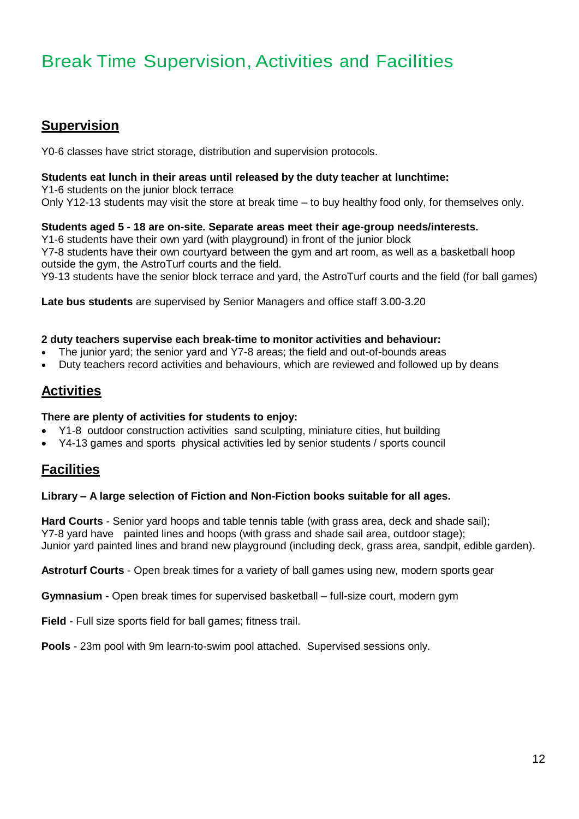## Break Time Supervision, Activities and Facilities

### **Supervision**

Y0-6 classes have strict storage, distribution and supervision protocols.

#### **Students eat lunch in their areas until released by the duty teacher at lunchtime:**

Y1-6 students on the junior block terrace Only Y12-13 students may visit the store at break time – to buy healthy food only, for themselves only.

#### **Students aged 5 - 18 are on-site. Separate areas meet their age-group needs/interests.**

Y1-6 students have their own yard (with playground) in front of the junior block Y7-8 students have their own courtyard between the gym and art room, as well as a basketball hoop outside the gym, the AstroTurf courts and the field.

Y9-13 students have the senior block terrace and yard, the AstroTurf courts and the field (for ball games)

**Late bus students** are supervised by Senior Managers and office staff 3.00-3.20

#### **2 duty teachers supervise each break-time to monitor activities and behaviour:**

- The junior yard; the senior yard and Y7-8 areas; the field and out-of-bounds areas
- Duty teachers record activities and behaviours, which are reviewed and followed up by deans

### **Activities**

#### **There are plenty of activities for students to enjoy:**

- Y1-8 outdoor construction activities sand sculpting, miniature cities, hut building
- Y4-13 games and sports physical activities led by senior students / sports council

### **Facilities**

#### **Library – A large selection of Fiction and Non-Fiction books suitable for all ages.**

**Hard Courts** - Senior yard hoops and table tennis table (with grass area, deck and shade sail); Y7-8 yard have painted lines and hoops (with grass and shade sail area, outdoor stage); Junior yard painted lines and brand new playground (including deck, grass area, sandpit, edible garden).

**Astroturf Courts** - Open break times for a variety of ball games using new, modern sports gear

**Gymnasium** - Open break times for supervised basketball – full-size court, modern gym

**Field** - Full size sports field for ball games; fitness trail.

**Pools** - 23m pool with 9m learn-to-swim pool attached. Supervised sessions only.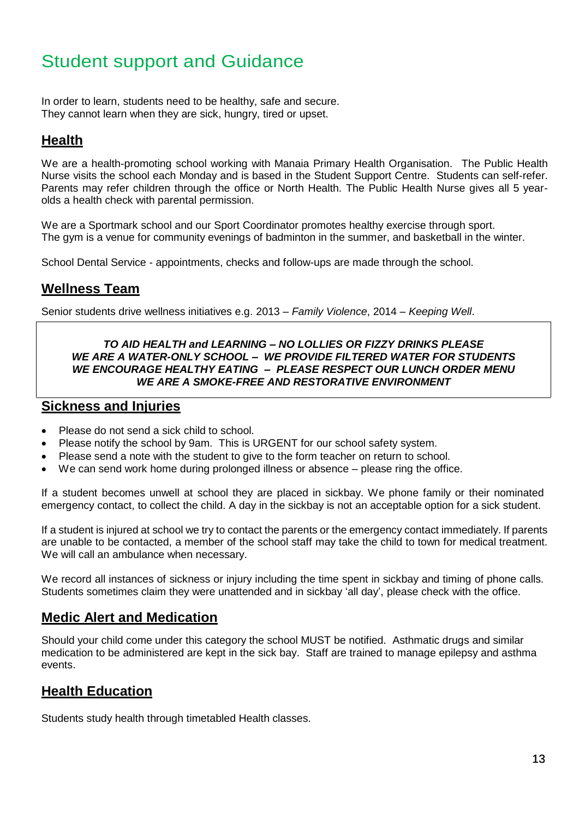## Student support and Guidance

In order to learn, students need to be healthy, safe and secure. They cannot learn when they are sick, hungry, tired or upset.

### **Health**

We are a health-promoting school working with Manaia Primary Health Organisation. The Public Health Nurse visits the school each Monday and is based in the Student Support Centre. Students can self-refer. Parents may refer children through the office or North Health. The Public Health Nurse gives all 5 yearolds a health check with parental permission.

We are a Sportmark school and our Sport Coordinator promotes healthy exercise through sport. The gym is a venue for community evenings of badminton in the summer, and basketball in the winter.

School Dental Service - appointments, checks and follow-ups are made through the school.

### **Wellness Team**

Senior students drive wellness initiatives e.g. 2013 – *Family Violence*, 2014 *– Keeping Well*.

#### *TO AID HEALTH and LEARNING – NO LOLLIES OR FIZZY DRINKS PLEASE WE ARE A WATER-ONLY SCHOOL – WE PROVIDE FILTERED WATER FOR STUDENTS WE ENCOURAGE HEALTHY EATING – PLEASE RESPECT OUR LUNCH ORDER MENU WE ARE A SMOKE-FREE AND RESTORATIVE ENVIRONMENT*

#### **Sickness and Injuries**

- Please do not send a sick child to school.
- Please notify the school by 9am. This is URGENT for our school safety system.
- Please send a note with the student to give to the form teacher on return to school.
- We can send work home during prolonged illness or absence please ring the office.

If a student becomes unwell at school they are placed in sickbay. We phone family or their nominated emergency contact, to collect the child. A day in the sickbay is not an acceptable option for a sick student.

If a student is injured at school we try to contact the parents or the emergency contact immediately. If parents are unable to be contacted, a member of the school staff may take the child to town for medical treatment. We will call an ambulance when necessary.

We record all instances of sickness or injury including the time spent in sickbay and timing of phone calls. Students sometimes claim they were unattended and in sickbay 'all day', please check with the office.

### **Medic Alert and Medication**

Should your child come under this category the school MUST be notified. Asthmatic drugs and similar medication to be administered are kept in the sick bay. Staff are trained to manage epilepsy and asthma events.

### **Health Education**

Students study health through timetabled Health classes.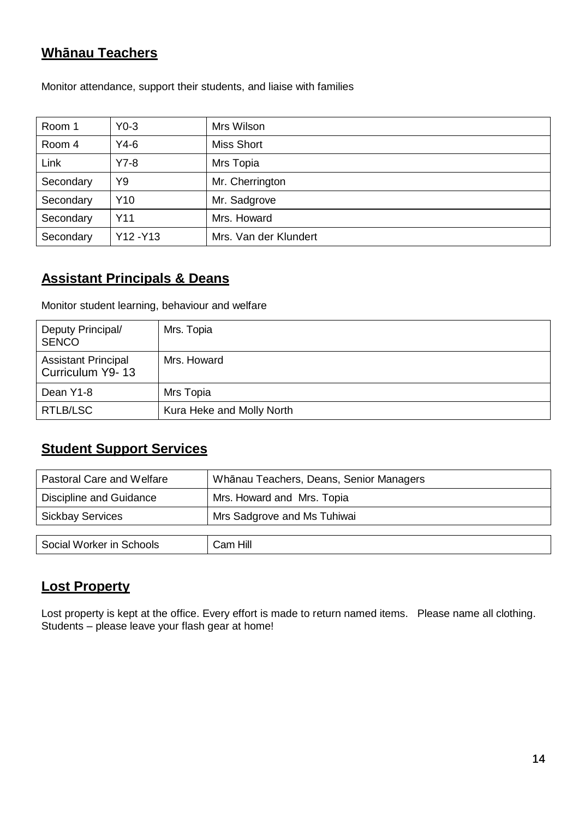## **Whānau Teachers**

| Room 1    | $Y0-3$          | Mrs Wilson            |
|-----------|-----------------|-----------------------|
| Room 4    | $Y4-6$          | <b>Miss Short</b>     |
| Link      | $Y7-8$          | Mrs Topia             |
| Secondary | Y9              | Mr. Cherrington       |
| Secondary | Y <sub>10</sub> | Mr. Sadgrove          |
| Secondary | Y11             | Mrs. Howard           |
| Secondary | Y12-Y13         | Mrs. Van der Klundert |

Monitor attendance, support their students, and liaise with families

## **Assistant Principals & Deans**

Monitor student learning, behaviour and welfare

| Deputy Principal/<br><b>SENCO</b>              | Mrs. Topia                |
|------------------------------------------------|---------------------------|
| <b>Assistant Principal</b><br>Curriculum Y9-13 | Mrs. Howard               |
| Dean Y1-8                                      | Mrs Topia                 |
| RTLB/LSC                                       | Kura Heke and Molly North |

## **Student Support Services**

| Pastoral Care and Welfare                              | Whānau Teachers, Deans, Senior Managers |  |
|--------------------------------------------------------|-----------------------------------------|--|
| Discipline and Guidance                                | Mrs. Howard and Mrs. Topia              |  |
| Mrs Sadgrove and Ms Tuhiwai<br><b>Sickbay Services</b> |                                         |  |
|                                                        |                                         |  |
| Social Worker in Schools                               | Cam Hill                                |  |

### **Lost Property**

Lost property is kept at the office. Every effort is made to return named items. Please name all clothing. Students – please leave your flash gear at home!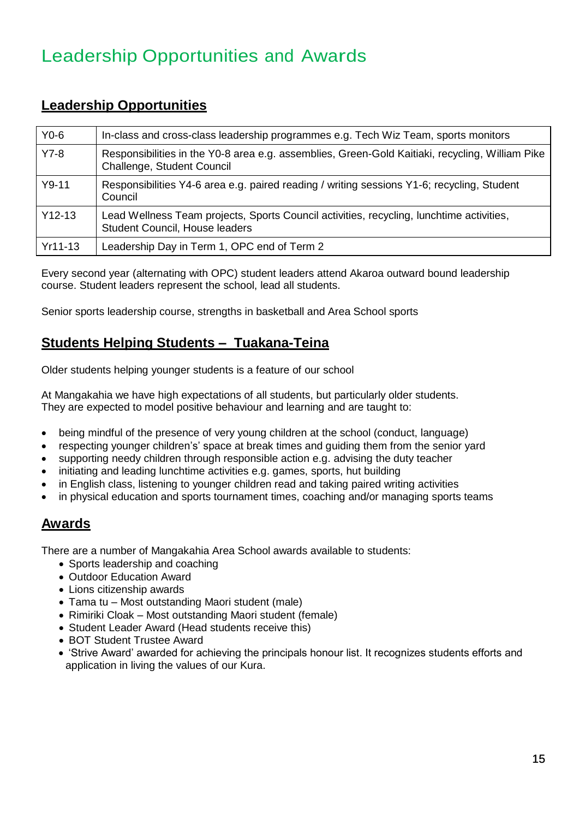## Leadership Opportunities and Awards

### **Leadership Opportunities**

| $Y0-6$   | In-class and cross-class leadership programmes e.g. Tech Wiz Team, sports monitors                                            |
|----------|-------------------------------------------------------------------------------------------------------------------------------|
| $Y7-8$   | Responsibilities in the Y0-8 area e.g. assemblies, Green-Gold Kaitiaki, recycling, William Pike<br>Challenge, Student Council |
| $Y9-11$  | Responsibilities Y4-6 area e.g. paired reading / writing sessions Y1-6; recycling, Student<br>Council                         |
| $Y12-13$ | Lead Wellness Team projects, Sports Council activities, recycling, lunchtime activities,<br>Student Council, House leaders    |
| Yr11-13  | Leadership Day in Term 1, OPC end of Term 2                                                                                   |

Every second year (alternating with OPC) student leaders attend Akaroa outward bound leadership course. Student leaders represent the school, lead all students.

Senior sports leadership course, strengths in basketball and Area School sports

### **Students Helping Students – Tuakana-Teina**

Older students helping younger students is a feature of our school

At Mangakahia we have high expectations of all students, but particularly older students. They are expected to model positive behaviour and learning and are taught to:

- being mindful of the presence of very young children at the school (conduct, language)
- respecting younger children's' space at break times and guiding them from the senior yard
- supporting needy children through responsible action e.g. advising the duty teacher
- initiating and leading lunchtime activities e.g. games, sports, hut building
- in English class, listening to younger children read and taking paired writing activities
- in physical education and sports tournament times, coaching and/or managing sports teams

### **Awards**

There are a number of Mangakahia Area School awards available to students:

- Sports leadership and coaching
- Outdoor Education Award
- Lions citizenship awards
- Tama tu Most outstanding Maori student (male)
- Rimiriki Cloak Most outstanding Maori student (female)
- Student Leader Award (Head students receive this)
- BOT Student Trustee Award
- 'Strive Award' awarded for achieving the principals honour list. It recognizes students efforts and application in living the values of our Kura.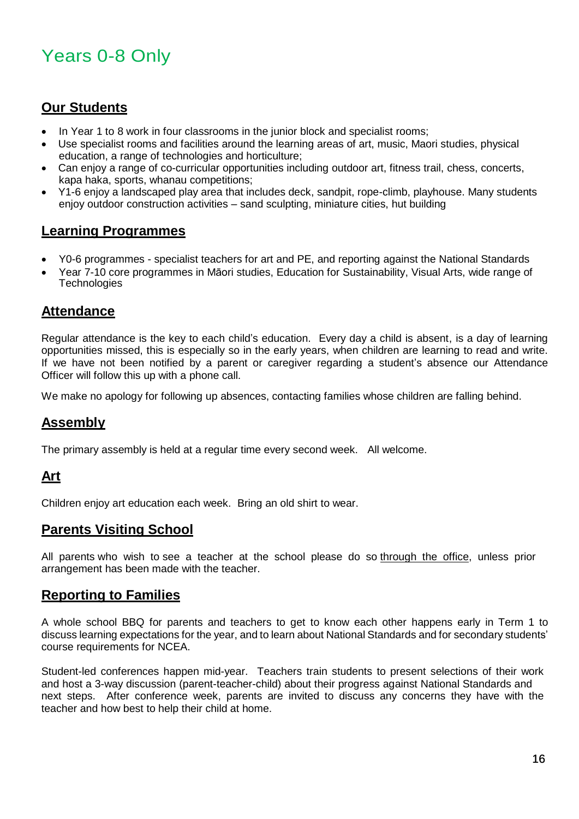## Years 0-8 Only

### **Our Students**

- In Year 1 to 8 work in four classrooms in the junior block and specialist rooms;
- Use specialist rooms and facilities around the learning areas of art, music, Maori studies, physical education, a range of technologies and horticulture;
- Can enjoy a range of co-curricular opportunities including outdoor art, fitness trail, chess, concerts, kapa haka, sports, whanau competitions;
- Y1-6 enjoy a landscaped play area that includes deck, sandpit, rope-climb, playhouse. Many students enjoy outdoor construction activities – sand sculpting, miniature cities, hut building

### **Learning Programmes**

- Y0-6 programmes specialist teachers for art and PE, and reporting against the National Standards
- Year 7-10 core programmes in Māori studies, Education for Sustainability, Visual Arts, wide range of **Technologies**

### **Attendance**

Regular attendance is the key to each child's education. Every day a child is absent, is a day of learning opportunities missed, this is especially so in the early years, when children are learning to read and write. If we have not been notified by a parent or caregiver regarding a student's absence our Attendance Officer will follow this up with a phone call.

We make no apology for following up absences, contacting families whose children are falling behind.

### **Assembly**

The primary assembly is held at a regular time every second week. All welcome.

### **Art**

Children enjoy art education each week. Bring an old shirt to wear.

#### **Parents Visiting School**

All parents who wish to see a teacher at the school please do so through the office, unless prior arrangement has been made with the teacher.

#### **Reporting to Families**

A whole school BBQ for parents and teachers to get to know each other happens early in Term 1 to discuss learning expectations for the year, and to learn about National Standards and for secondary students' course requirements for NCEA.

Student-led conferences happen mid-year. Teachers train students to present selections of their work and host a 3-way discussion (parent-teacher-child) about their progress against National Standards and next steps. After conference week, parents are invited to discuss any concerns they have with the teacher and how best to help their child at home.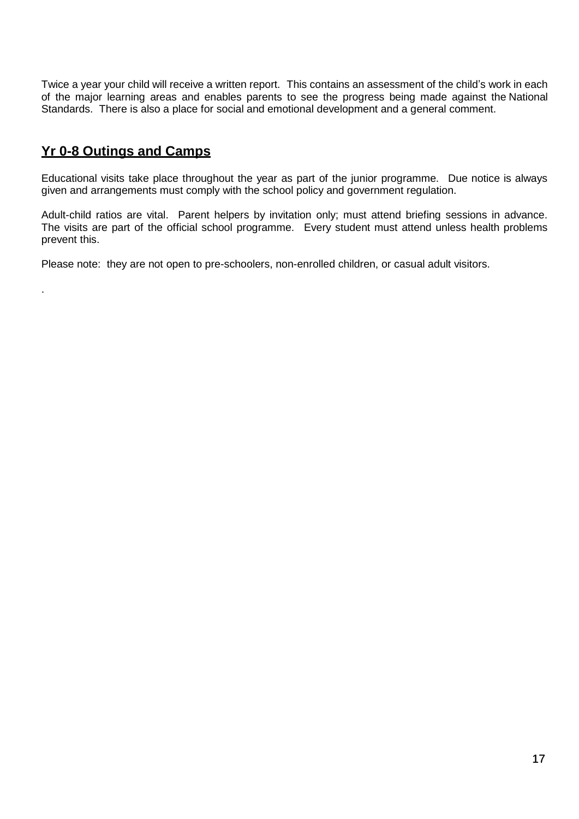Twice a year your child will receive a written report. This contains an assessment of the child's work in each of the major learning areas and enables parents to see the progress being made against the National Standards. There is also a place for social and emotional development and a general comment.

### **Yr 0-8 Outings and Camps**

.

Educational visits take place throughout the year as part of the junior programme. Due notice is always given and arrangements must comply with the school policy and government regulation.

Adult-child ratios are vital. Parent helpers by invitation only; must attend briefing sessions in advance. The visits are part of the official school programme. Every student must attend unless health problems prevent this.

Please note: they are not open to pre-schoolers, non-enrolled children, or casual adult visitors.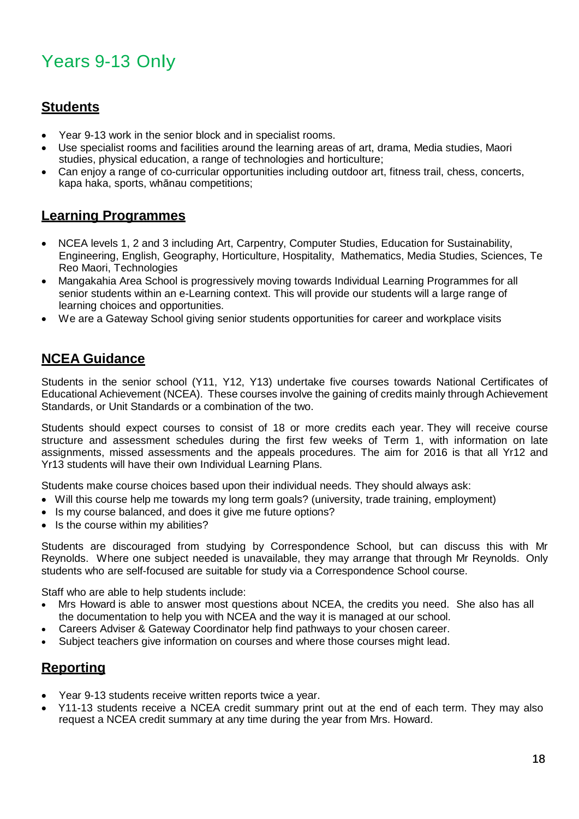## Years 9-13 Only

### **Students**

- Year 9-13 work in the senior block and in specialist rooms.
- Use specialist rooms and facilities around the learning areas of art, drama, Media studies, Maori studies, physical education, a range of technologies and horticulture;
- Can enjoy a range of co-curricular opportunities including outdoor art, fitness trail, chess, concerts, kapa haka, sports, whānau competitions;

### **Learning Programmes**

- NCEA levels 1, 2 and 3 including Art, Carpentry, Computer Studies, Education for Sustainability, Engineering, English, Geography, Horticulture, Hospitality, Mathematics, Media Studies, Sciences, Te Reo Maori, Technologies
- Mangakahia Area School is progressively moving towards Individual Learning Programmes for all senior students within an e-Learning context. This will provide our students will a large range of learning choices and opportunities.
- We are a Gateway School giving senior students opportunities for career and workplace visits

### **NCEA Guidance**

Students in the senior school (Y11, Y12, Y13) undertake five courses towards National Certificates of Educational Achievement (NCEA). These courses involve the gaining of credits mainly through Achievement Standards, or Unit Standards or a combination of the two.

Students should expect courses to consist of 18 or more credits each year. They will receive course structure and assessment schedules during the first few weeks of Term 1, with information on late assignments, missed assessments and the appeals procedures. The aim for 2016 is that all Yr12 and Yr13 students will have their own Individual Learning Plans.

Students make course choices based upon their individual needs. They should always ask:

- Will this course help me towards my long term goals? (university, trade training, employment)
- Is my course balanced, and does it give me future options?
- Is the course within my abilities?

Students are discouraged from studying by Correspondence School, but can discuss this with Mr Reynolds. Where one subject needed is unavailable, they may arrange that through Mr Reynolds. Only students who are self-focused are suitable for study via a Correspondence School course.

Staff who are able to help students include:

- Mrs Howard is able to answer most questions about NCEA, the credits you need. She also has all the documentation to help you with NCEA and the way it is managed at our school.
- Careers Adviser & Gateway Coordinator help find pathways to your chosen career.
- Subject teachers give information on courses and where those courses might lead.

### **Reporting**

- Year 9-13 students receive written reports twice a year.
- Y11-13 students receive a NCEA credit summary print out at the end of each term. They may also request a NCEA credit summary at any time during the year from Mrs. Howard.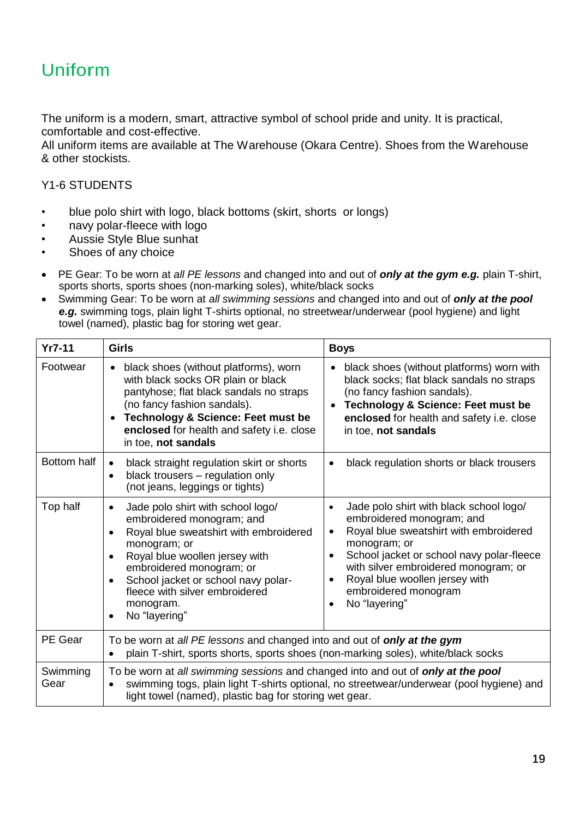## Uniform

The uniform is a modern, smart, attractive symbol of school pride and unity. It is practical, comfortable and cost-effective.

All uniform items are available at The Warehouse (Okara Centre). Shoes from the Warehouse & other stockists.

#### Y1-6 STUDENTS

- blue polo shirt with logo, black bottoms (skirt, shorts or longs)
- navy polar-fleece with logo
- Aussie Style Blue sunhat
- Shoes of any choice
- PE Gear: To be worn at *all PE lessons* and changed into and out of *only at the gym e.g.* plain T-shirt, sports shorts, sports shoes (non-marking soles), white/black socks
- Swimming Gear: To be worn at *all swimming sessions* and changed into and out of *only at the pool e.g.* swimming togs, plain light T-shirts optional, no streetwear/underwear (pool hygiene) and light towel (named), plastic bag for storing wet gear.

| $Yr7-11$         | <b>Girls</b>                                                                                                                                                                                                                                                                                                                                      | <b>Boys</b>                                                                                                                                                                                                                                                                                                 |
|------------------|---------------------------------------------------------------------------------------------------------------------------------------------------------------------------------------------------------------------------------------------------------------------------------------------------------------------------------------------------|-------------------------------------------------------------------------------------------------------------------------------------------------------------------------------------------------------------------------------------------------------------------------------------------------------------|
| Footwear         | black shoes (without platforms), worn<br>with black socks OR plain or black<br>pantyhose; flat black sandals no straps<br>(no fancy fashion sandals).<br><b>Technology &amp; Science: Feet must be</b><br>enclosed for health and safety i.e. close<br>in toe, not sandals                                                                        | black shoes (without platforms) worn with<br>black socks; flat black sandals no straps<br>(no fancy fashion sandals).<br><b>Technology &amp; Science: Feet must be</b><br>enclosed for health and safety i.e. close<br>in toe, not sandals                                                                  |
| Bottom half      | black straight regulation skirt or shorts<br>black trousers - regulation only<br>$\bullet$<br>(not jeans, leggings or tights)                                                                                                                                                                                                                     | black regulation shorts or black trousers                                                                                                                                                                                                                                                                   |
| Top half         | Jade polo shirt with school logo/<br>$\bullet$<br>embroidered monogram; and<br>Royal blue sweatshirt with embroidered<br>$\bullet$<br>monogram; or<br>Royal blue woollen jersey with<br>$\bullet$<br>embroidered monogram; or<br>School jacket or school navy polar-<br>fleece with silver embroidered<br>monogram.<br>No "layering"<br>$\bullet$ | Jade polo shirt with black school logo/<br>$\bullet$<br>embroidered monogram; and<br>Royal blue sweatshirt with embroidered<br>monogram; or<br>School jacket or school navy polar-fleece<br>with silver embroidered monogram; or<br>Royal blue woollen jersey with<br>embroidered monogram<br>No "layering" |
| PE Gear          | To be worn at all PE lessons and changed into and out of only at the gym<br>plain T-shirt, sports shorts, sports shoes (non-marking soles), white/black socks                                                                                                                                                                                     |                                                                                                                                                                                                                                                                                                             |
| Swimming<br>Gear | To be worn at all swimming sessions and changed into and out of only at the pool<br>swimming togs, plain light T-shirts optional, no streetwear/underwear (pool hygiene) and<br>$\bullet$<br>light towel (named), plastic bag for storing wet gear.                                                                                               |                                                                                                                                                                                                                                                                                                             |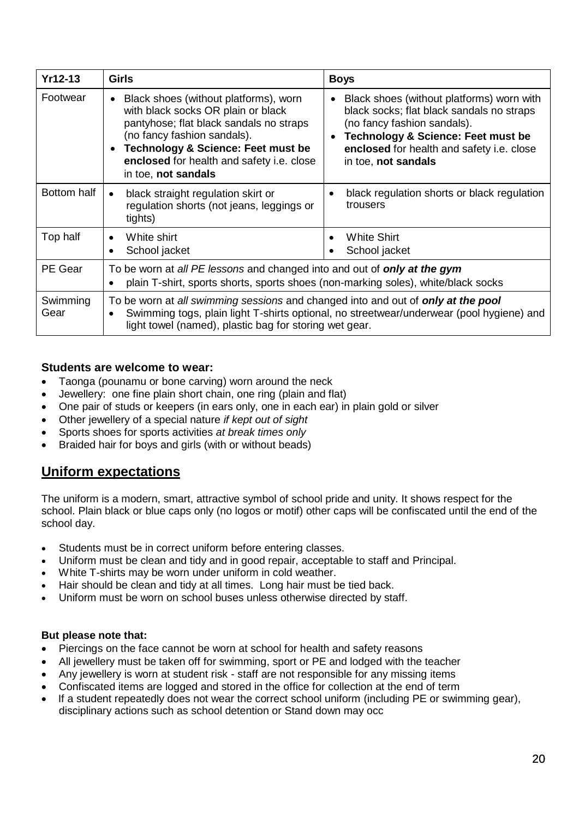| <b>Yr12-13</b>   | <b>Girls</b>                                                                                                                                                                                                                                                               | <b>Boys</b>                                                                                                                                                                                                                                |  |
|------------------|----------------------------------------------------------------------------------------------------------------------------------------------------------------------------------------------------------------------------------------------------------------------------|--------------------------------------------------------------------------------------------------------------------------------------------------------------------------------------------------------------------------------------------|--|
| Footwear         | Black shoes (without platforms), worn<br>with black socks OR plain or black<br>pantyhose; flat black sandals no straps<br>(no fancy fashion sandals).<br><b>Technology &amp; Science: Feet must be</b><br>enclosed for health and safety i.e. close<br>in toe, not sandals | Black shoes (without platforms) worn with<br>black socks; flat black sandals no straps<br>(no fancy fashion sandals).<br><b>Technology &amp; Science: Feet must be</b><br>enclosed for health and safety i.e. close<br>in toe, not sandals |  |
| Bottom half      | black straight regulation skirt or<br>regulation shorts (not jeans, leggings or<br>tights)                                                                                                                                                                                 | black regulation shorts or black regulation<br>trousers                                                                                                                                                                                    |  |
| Top half         | White shirt<br>$\bullet$<br>School jacket                                                                                                                                                                                                                                  | <b>White Shirt</b><br>$\bullet$<br>School jacket                                                                                                                                                                                           |  |
| PE Gear          | To be worn at all PE lessons and changed into and out of <b>only at the gym</b><br>plain T-shirt, sports shorts, sports shoes (non-marking soles), white/black socks                                                                                                       |                                                                                                                                                                                                                                            |  |
| Swimming<br>Gear | To be worn at all swimming sessions and changed into and out of <b>only at the pool</b><br>Swimming togs, plain light T-shirts optional, no streetwear/underwear (pool hygiene) and<br>light towel (named), plastic bag for storing wet gear.                              |                                                                                                                                                                                                                                            |  |

#### **Students are welcome to wear:**

- Taonga (pounamu or bone carving) worn around the neck
- Jewellery: one fine plain short chain, one ring (plain and flat)
- One pair of studs or keepers (in ears only, one in each ear) in plain gold or silver
- Other jewellery of a special nature *if kept out of sight*
- Sports shoes for sports activities *at break times only*
- Braided hair for boys and girls (with or without beads)

### **Uniform expectations**

The uniform is a modern, smart, attractive symbol of school pride and unity. It shows respect for the school. Plain black or blue caps only (no logos or motif) other caps will be confiscated until the end of the school day.

- Students must be in correct uniform before entering classes.
- Uniform must be clean and tidy and in good repair, acceptable to staff and Principal.
- White T-shirts may be worn under uniform in cold weather.
- Hair should be clean and tidy at all times. Long hair must be tied back.
- Uniform must be worn on school buses unless otherwise directed by staff.

#### **But please note that:**

- Piercings on the face cannot be worn at school for health and safety reasons
- All jewellery must be taken off for swimming, sport or PE and lodged with the teacher
- Any jewellery is worn at student risk staff are not responsible for any missing items
	- Confiscated items are logged and stored in the office for collection at the end of term
	- If a student repeatedly does not wear the correct school uniform (including PE or swimming gear), disciplinary actions such as school detention or Stand down may occ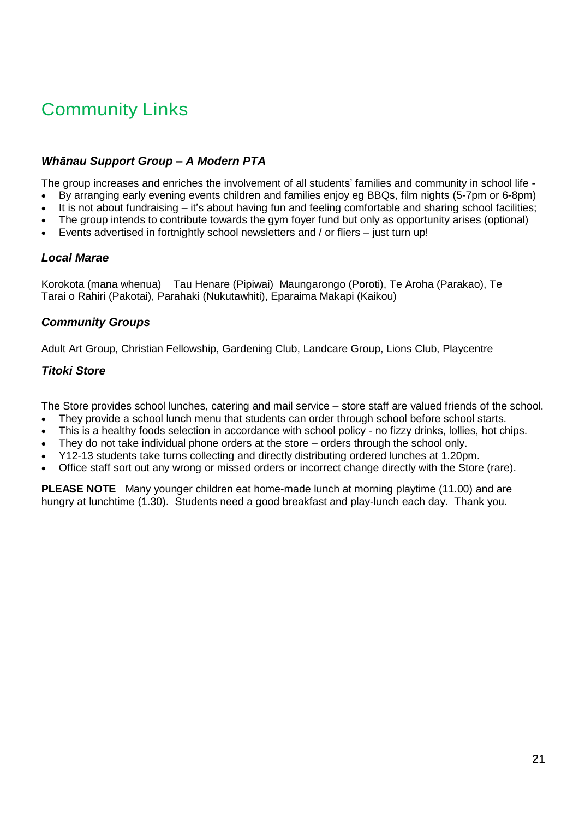## Community Links

#### *Whānau Support Group – A Modern PTA*

The group increases and enriches the involvement of all students' families and community in school life -

- By arranging early evening events children and families enjoy eg BBQs, film nights (5-7pm or 6-8pm)
- It is not about fundraising it's about having fun and feeling comfortable and sharing school facilities;
- The group intends to contribute towards the gym foyer fund but only as opportunity arises (optional)
- Events advertised in fortnightly school newsletters and / or fliers just turn up!

#### *Local Marae*

Korokota (mana whenua) Tau Henare (Pipiwai) Maungarongo (Poroti), Te Aroha (Parakao), Te Tarai o Rahiri (Pakotai), Parahaki (Nukutawhiti), Eparaima Makapi (Kaikou)

#### *Community Groups*

Adult Art Group, Christian Fellowship, Gardening Club, Landcare Group, Lions Club, Playcentre

#### *Titoki Store*

The Store provides school lunches, catering and mail service – store staff are valued friends of the school.

- They provide a school lunch menu that students can order through school before school starts.
- This is a healthy foods selection in accordance with school policy no fizzy drinks, lollies, hot chips.
- They do not take individual phone orders at the store orders through the school only.
- Y12-13 students take turns collecting and directly distributing ordered lunches at 1.20pm.
- Office staff sort out any wrong or missed orders or incorrect change directly with the Store (rare).

**PLEASE NOTE** Many younger children eat home-made lunch at morning playtime (11.00) and are hungry at lunchtime (1.30). Students need a good breakfast and play-lunch each day. Thank you.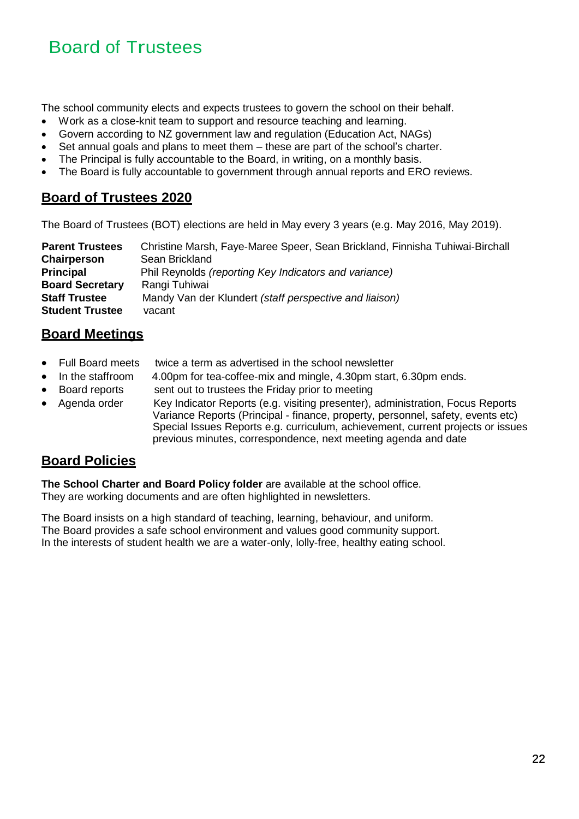## Board of Trustees

The school community elects and expects trustees to govern the school on their behalf.

- Work as a close-knit team to support and resource teaching and learning.
- Govern according to NZ government law and regulation (Education Act, NAGs)
- Set annual goals and plans to meet them these are part of the school's charter.
- The Principal is fully accountable to the Board, in writing, on a monthly basis.
- The Board is fully accountable to government through annual reports and ERO reviews.

### **Board of Trustees 2020**

The Board of Trustees (BOT) elections are held in May every 3 years (e.g. May 2016, May 2019).

| <b>Parent Trustees</b> | Christine Marsh, Faye-Maree Speer, Sean Brickland, Finnisha Tuhiwai-Birchall |
|------------------------|------------------------------------------------------------------------------|
| <b>Chairperson</b>     | Sean Brickland                                                               |
| <b>Principal</b>       | Phil Reynolds (reporting Key Indicators and variance)                        |
| <b>Board Secretary</b> | Rangi Tuhiwai                                                                |
| <b>Staff Trustee</b>   | Mandy Van der Klundert (staff perspective and liaison)                       |
| <b>Student Trustee</b> | vacant                                                                       |

### **Board Meetings**

- Full Board meets twice a term as advertised in the school newsletter
- In the staffroom 4.00pm for tea-coffee-mix and mingle, 4.30pm start, 6.30pm ends.
- Board reports sent out to trustees the Friday prior to meeting
- Agenda order Key Indicator Reports (e.g. visiting presenter), administration, Focus Reports Variance Reports (Principal - finance, property, personnel, safety, events etc) Special Issues Reports e.g. curriculum, achievement, current projects or issues previous minutes, correspondence, next meeting agenda and date

### **Board Policies**

**The School Charter and Board Policy folder** are available at the school office. They are working documents and are often highlighted in newsletters.

The Board insists on a high standard of teaching, learning, behaviour, and uniform. The Board provides a safe school environment and values good community support. In the interests of student health we are a water-only, lolly-free, healthy eating school.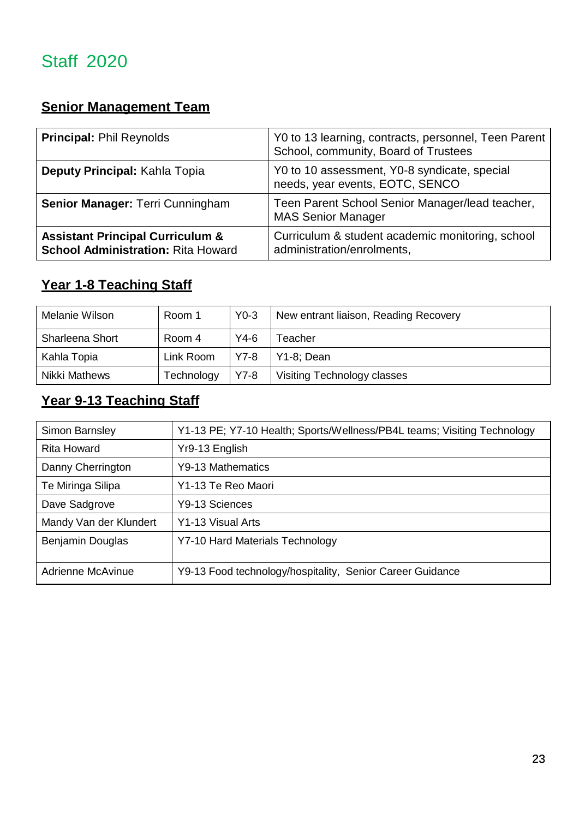## Staff 2020

## **Senior Management Team**

| <b>Principal: Phil Reynolds</b>                                                          | Y0 to 13 learning, contracts, personnel, Teen Parent<br>School, community, Board of Trustees |
|------------------------------------------------------------------------------------------|----------------------------------------------------------------------------------------------|
| Deputy Principal: Kahla Topia                                                            | Y0 to 10 assessment, Y0-8 syndicate, special<br>needs, year events, EOTC, SENCO              |
| Senior Manager: Terri Cunningham                                                         | Teen Parent School Senior Manager/lead teacher,<br><b>MAS Senior Manager</b>                 |
| <b>Assistant Principal Curriculum &amp;</b><br><b>School Administration: Rita Howard</b> | Curriculum & student academic monitoring, school<br>administration/enrolments,               |

## **Year 1-8 Teaching Staff**

| Melanie Wilson         | Room 1     | $Y0-3$ | New entrant liaison, Reading Recovery |
|------------------------|------------|--------|---------------------------------------|
| <b>Sharleena Short</b> | Room 4     | $Y4-6$ | Teacher                               |
| Kahla Topia            | Link Room  | $Y7-8$ | $Y1-8$ ; Dean                         |
| Nikki Mathews          | Technology | $Y7-8$ | Visiting Technology classes           |

## **Year 9-13 Teaching Staff**

| Simon Barnsley         | Y1-13 PE; Y7-10 Health; Sports/Wellness/PB4L teams; Visiting Technology |
|------------------------|-------------------------------------------------------------------------|
| Rita Howard            | Yr9-13 English                                                          |
| Danny Cherrington      | Y9-13 Mathematics                                                       |
| Te Miringa Silipa      | Y1-13 Te Reo Maori                                                      |
| Dave Sadgrove          | Y9-13 Sciences                                                          |
| Mandy Van der Klundert | Y1-13 Visual Arts                                                       |
| Benjamin Douglas       | Y7-10 Hard Materials Technology                                         |
| Adrienne McAvinue      | Y9-13 Food technology/hospitality, Senior Career Guidance               |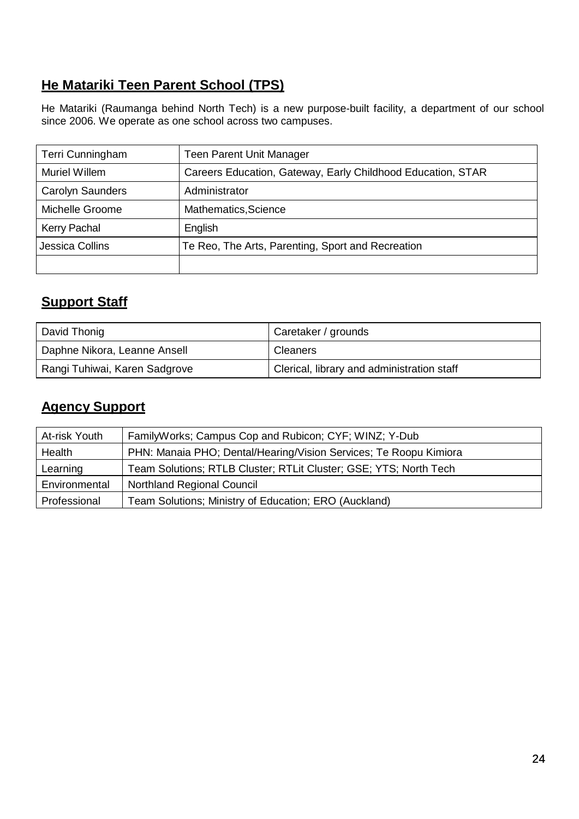## **He Matariki Teen Parent School (TPS)**

He Matariki (Raumanga behind North Tech) is a new purpose-built facility, a department of our school since 2006. We operate as one school across two campuses.

| Terri Cunningham        | <b>Teen Parent Unit Manager</b>                             |
|-------------------------|-------------------------------------------------------------|
| Muriel Willem           | Careers Education, Gateway, Early Childhood Education, STAR |
| <b>Carolyn Saunders</b> | Administrator                                               |
| Michelle Groome         | Mathematics, Science                                        |
| <b>Kerry Pachal</b>     | English                                                     |
| Jessica Collins         | Te Reo, The Arts, Parenting, Sport and Recreation           |
|                         |                                                             |

## **Support Staff**

| David Thonig                  | Caretaker / grounds                        |
|-------------------------------|--------------------------------------------|
| Daphne Nikora, Leanne Ansell  | <b>Cleaners</b>                            |
| Rangi Tuhiwai, Karen Sadgrove | Clerical, library and administration staff |

## **Agency Support**

| At-risk Youth | FamilyWorks; Campus Cop and Rubicon; CYF; WINZ; Y-Dub             |
|---------------|-------------------------------------------------------------------|
| Health        | PHN: Manaia PHO; Dental/Hearing/Vision Services; Te Roopu Kimiora |
| Learning      | Team Solutions; RTLB Cluster; RTLit Cluster; GSE; YTS; North Tech |
| Environmental | <b>Northland Regional Council</b>                                 |
| Professional  | Team Solutions; Ministry of Education; ERO (Auckland)             |